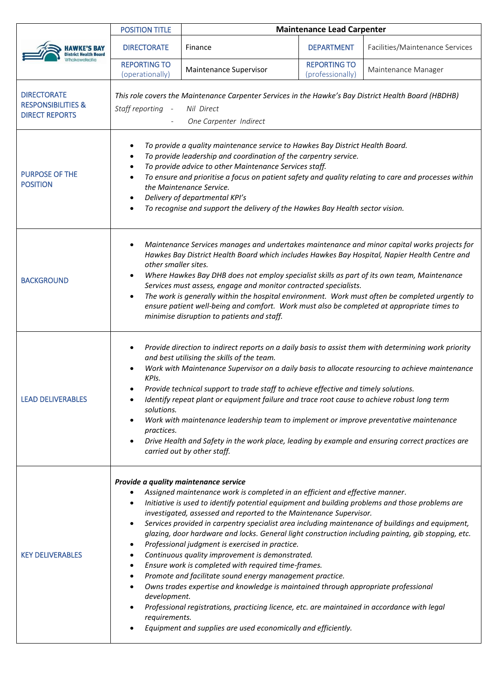| <b>District Health Board</b>                                                 | <b>POSITION TITLE</b>                                                                                                                                                                                                                                                                                                                                                                                                                                                                                                                                                                                                                                                                                                                                                                                                                                                                                                                                                                                                                                                                                    | <b>Maintenance Lead Carpenter</b> |                                         |                                 |  |
|------------------------------------------------------------------------------|----------------------------------------------------------------------------------------------------------------------------------------------------------------------------------------------------------------------------------------------------------------------------------------------------------------------------------------------------------------------------------------------------------------------------------------------------------------------------------------------------------------------------------------------------------------------------------------------------------------------------------------------------------------------------------------------------------------------------------------------------------------------------------------------------------------------------------------------------------------------------------------------------------------------------------------------------------------------------------------------------------------------------------------------------------------------------------------------------------|-----------------------------------|-----------------------------------------|---------------------------------|--|
|                                                                              | <b>DIRECTORATE</b>                                                                                                                                                                                                                                                                                                                                                                                                                                                                                                                                                                                                                                                                                                                                                                                                                                                                                                                                                                                                                                                                                       | Finance                           | <b>DEPARTMENT</b>                       | Facilities/Maintenance Services |  |
|                                                                              | <b>REPORTING TO</b><br>(operationally)                                                                                                                                                                                                                                                                                                                                                                                                                                                                                                                                                                                                                                                                                                                                                                                                                                                                                                                                                                                                                                                                   | Maintenance Supervisor            | <b>REPORTING TO</b><br>(professionally) | Maintenance Manager             |  |
| <b>DIRECTORATE</b><br><b>RESPONSIBILITIES &amp;</b><br><b>DIRECT REPORTS</b> | This role covers the Maintenance Carpenter Services in the Hawke's Bay District Health Board (HBDHB)<br>Staff reporting<br>Nil Direct<br>$\sim$ $-$<br>One Carpenter Indirect                                                                                                                                                                                                                                                                                                                                                                                                                                                                                                                                                                                                                                                                                                                                                                                                                                                                                                                            |                                   |                                         |                                 |  |
| <b>PURPOSE OF THE</b><br><b>POSITION</b>                                     | To provide a quality maintenance service to Hawkes Bay District Health Board.<br>٠<br>To provide leadership and coordination of the carpentry service.<br>To provide advice to other Maintenance Services staff.<br>To ensure and prioritise a focus on patient safety and quality relating to care and processes within<br>the Maintenance Service.<br>Delivery of departmental KPI's<br>$\bullet$<br>To recognise and support the delivery of the Hawkes Bay Health sector vision.                                                                                                                                                                                                                                                                                                                                                                                                                                                                                                                                                                                                                     |                                   |                                         |                                 |  |
| <b>BACKGROUND</b>                                                            | Maintenance Services manages and undertakes maintenance and minor capital works projects for<br>Hawkes Bay District Health Board which includes Hawkes Bay Hospital, Napier Health Centre and<br>other smaller sites.<br>Where Hawkes Bay DHB does not employ specialist skills as part of its own team, Maintenance<br>٠<br>Services must assess, engage and monitor contracted specialists.<br>The work is generally within the hospital environment. Work must often be completed urgently to<br>$\bullet$<br>ensure patient well-being and comfort. Work must also be completed at appropriate times to<br>minimise disruption to patients and staff.                                                                                                                                                                                                                                                                                                                                                                                                                                                |                                   |                                         |                                 |  |
| <b>LEAD DELIVERABLES</b>                                                     | Provide direction to indirect reports on a daily basis to assist them with determining work priority<br>$\bullet$<br>and best utilising the skills of the team.<br>Work with Maintenance Supervisor on a daily basis to allocate resourcing to achieve maintenance<br>KPIs.<br>Provide technical support to trade staff to achieve effective and timely solutions.<br>Identify repeat plant or equipment failure and trace root cause to achieve robust long term<br>solutions.<br>Work with maintenance leadership team to implement or improve preventative maintenance<br>$\bullet$<br>practices.<br>Drive Health and Safety in the work place, leading by example and ensuring correct practices are<br>$\bullet$<br>carried out by other staff.                                                                                                                                                                                                                                                                                                                                                     |                                   |                                         |                                 |  |
| <b>KEY DELIVERABLES</b>                                                      | Provide a quality maintenance service<br>Assigned maintenance work is completed in an efficient and effective manner.<br>Initiative is used to identify potential equipment and building problems and those problems are<br>investigated, assessed and reported to the Maintenance Supervisor.<br>Services provided in carpentry specialist area including maintenance of buildings and equipment,<br>$\bullet$<br>glazing, door hardware and locks. General light construction including painting, gib stopping, etc.<br>Professional judgment is exercised in practice.<br>$\bullet$<br>Continuous quality improvement is demonstrated.<br>$\bullet$<br>Ensure work is completed with required time-frames.<br>$\bullet$<br>Promote and facilitate sound energy management practice.<br>$\bullet$<br>Owns trades expertise and knowledge is maintained through appropriate professional<br>$\bullet$<br>development.<br>Professional registrations, practicing licence, etc. are maintained in accordance with legal<br>requirements.<br>Equipment and supplies are used economically and efficiently. |                                   |                                         |                                 |  |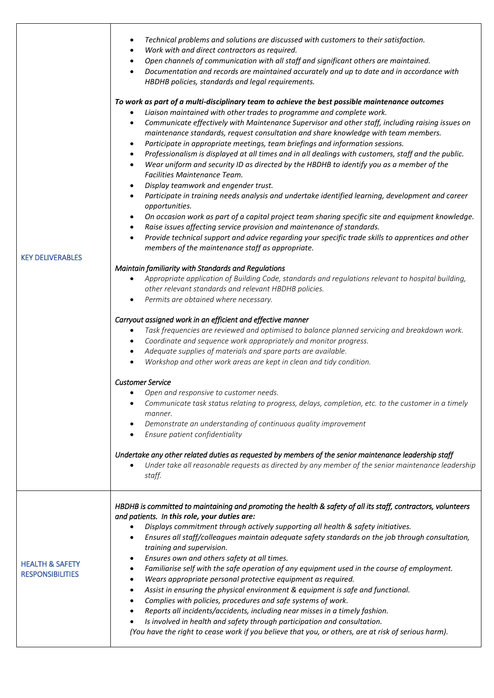| <b>KEY DELIVERABLES</b>                               | Technical problems and solutions are discussed with customers to their satisfaction.<br>Work with and direct contractors as required.<br>٠<br>Open channels of communication with all staff and significant others are maintained.<br>٠<br>Documentation and records are maintained accurately and up to date and in accordance with<br>HBDHB policies, standards and legal requirements.<br>To work as part of a multi-disciplinary team to achieve the best possible maintenance outcomes<br>Liaison maintained with other trades to programme and complete work.<br>Communicate effectively with Maintenance Supervisor and other staff, including raising issues on<br>$\bullet$<br>maintenance standards, request consultation and share knowledge with team members.<br>Participate in appropriate meetings, team briefings and information sessions.<br>$\bullet$<br>Professionalism is displayed at all times and in all dealings with customers, staff and the public.<br>Wear uniform and security ID as directed by the HBDHB to identify you as a member of the<br>$\bullet$<br>Facilities Maintenance Team.<br>Display teamwork and engender trust.<br>Participate in training needs analysis and undertake identified learning, development and career<br>$\bullet$<br>opportunities.<br>On occasion work as part of a capital project team sharing specific site and equipment knowledge.<br>$\bullet$<br>Raise issues affecting service provision and maintenance of standards.<br>$\bullet$<br>Provide technical support and advice regarding your specific trade skills to apprentices and other<br>$\bullet$<br>members of the maintenance staff as appropriate.<br>Maintain familiarity with Standards and Regulations<br>Appropriate application of Building Code, standards and regulations relevant to hospital building,<br>other relevant standards and relevant HBDHB policies.<br>Permits are obtained where necessary.<br>Carryout assigned work in an efficient and effective manner<br>Task frequencies are reviewed and optimised to balance planned servicing and breakdown work.<br>$\bullet$<br>Coordinate and sequence work appropriately and monitor progress.<br>Adequate supplies of materials and spare parts are available.<br>$\bullet$<br>Workshop and other work areas are kept in clean and tidy condition.<br>$\bullet$<br><b>Customer Service</b><br>Open and responsive to customer needs.<br>Communicate task status relating to progress, delays, completion, etc. to the customer in a timely<br>manner.<br>Demonstrate an understanding of continuous quality improvement<br>Ensure patient confidentiality<br>Undertake any other related duties as requested by members of the senior maintenance leadership staff<br>Under take all reasonable requests as directed by any member of the senior maintenance leadership<br>staff. |
|-------------------------------------------------------|----------------------------------------------------------------------------------------------------------------------------------------------------------------------------------------------------------------------------------------------------------------------------------------------------------------------------------------------------------------------------------------------------------------------------------------------------------------------------------------------------------------------------------------------------------------------------------------------------------------------------------------------------------------------------------------------------------------------------------------------------------------------------------------------------------------------------------------------------------------------------------------------------------------------------------------------------------------------------------------------------------------------------------------------------------------------------------------------------------------------------------------------------------------------------------------------------------------------------------------------------------------------------------------------------------------------------------------------------------------------------------------------------------------------------------------------------------------------------------------------------------------------------------------------------------------------------------------------------------------------------------------------------------------------------------------------------------------------------------------------------------------------------------------------------------------------------------------------------------------------------------------------------------------------------------------------------------------------------------------------------------------------------------------------------------------------------------------------------------------------------------------------------------------------------------------------------------------------------------------------------------------------------------------------------------------------------------------------------------------------------------------------------------------------------------------------------------------------------------------------------------------------------------------------------------------------------------------------------------------------------------------------------------------------------------------------------------------------------------------------------------------------------------------------------------------------------------------------------------------------------------------|
| <b>HEALTH &amp; SAFETY</b><br><b>RESPONSIBILITIES</b> | HBDHB is committed to maintaining and promoting the health & safety of all its staff, contractors, volunteers<br>and patients. In this role, your duties are:<br>Displays commitment through actively supporting all health & safety initiatives.<br>Ensures all staff/colleagues maintain adequate safety standards on the job through consultation,<br>training and supervision.<br>Ensures own and others safety at all times.<br>٠<br>Familiarise self with the safe operation of any equipment used in the course of employment.<br>٠<br>Wears appropriate personal protective equipment as required.<br>٠<br>Assist in ensuring the physical environment & equipment is safe and functional.<br>٠<br>Complies with policies, procedures and safe systems of work.<br>$\bullet$<br>Reports all incidents/accidents, including near misses in a timely fashion.<br>٠<br>Is involved in health and safety through participation and consultation.<br>(You have the right to cease work if you believe that you, or others, are at risk of serious harm).                                                                                                                                                                                                                                                                                                                                                                                                                                                                                                                                                                                                                                                                                                                                                                                                                                                                                                                                                                                                                                                                                                                                                                                                                                                                                                                                                                                                                                                                                                                                                                                                                                                                                                                                                                                                                            |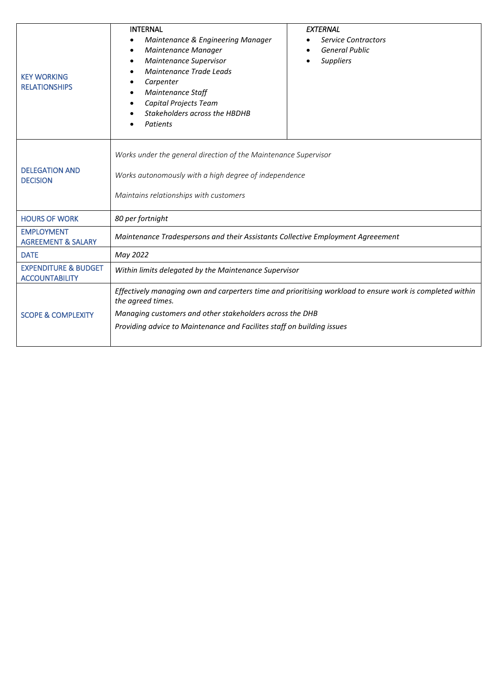| <b>KEY WORKING</b><br><b>RELATIONSHIPS</b>               | <b>INTERNAL</b><br>Maintenance & Engineering Manager<br>Maintenance Manager<br>Maintenance Supervisor<br>Maintenance Trade Leads<br>Carpenter<br>Maintenance Staff<br>Capital Projects Team<br>Stakeholders across the HBDHB<br>Patients | <b>EXTERNAL</b><br><b>Service Contractors</b><br><b>General Public</b><br><b>Suppliers</b> |  |  |
|----------------------------------------------------------|------------------------------------------------------------------------------------------------------------------------------------------------------------------------------------------------------------------------------------------|--------------------------------------------------------------------------------------------|--|--|
| <b>DELEGATION AND</b><br><b>DECISION</b>                 | Works under the general direction of the Maintenance Supervisor<br>Works autonomously with a high degree of independence<br>Maintains relationships with customers                                                                       |                                                                                            |  |  |
| <b>HOURS OF WORK</b>                                     | 80 per fortnight                                                                                                                                                                                                                         |                                                                                            |  |  |
| <b>EMPLOYMENT</b><br><b>AGREEMENT &amp; SALARY</b>       | Maintenance Tradespersons and their Assistants Collective Employment Agreeement                                                                                                                                                          |                                                                                            |  |  |
| <b>DATE</b>                                              | May 2022                                                                                                                                                                                                                                 |                                                                                            |  |  |
| <b>EXPENDITURE &amp; BUDGET</b><br><b>ACCOUNTABILITY</b> | Within limits delegated by the Maintenance Supervisor                                                                                                                                                                                    |                                                                                            |  |  |
|                                                          | Effectively managing own and carperters time and prioritising workload to ensure work is completed within<br>the agreed times.                                                                                                           |                                                                                            |  |  |
| <b>SCOPE &amp; COMPLEXITY</b>                            | Managing customers and other stakeholders across the DHB                                                                                                                                                                                 |                                                                                            |  |  |
|                                                          | Providing advice to Maintenance and Facilites staff on building issues                                                                                                                                                                   |                                                                                            |  |  |